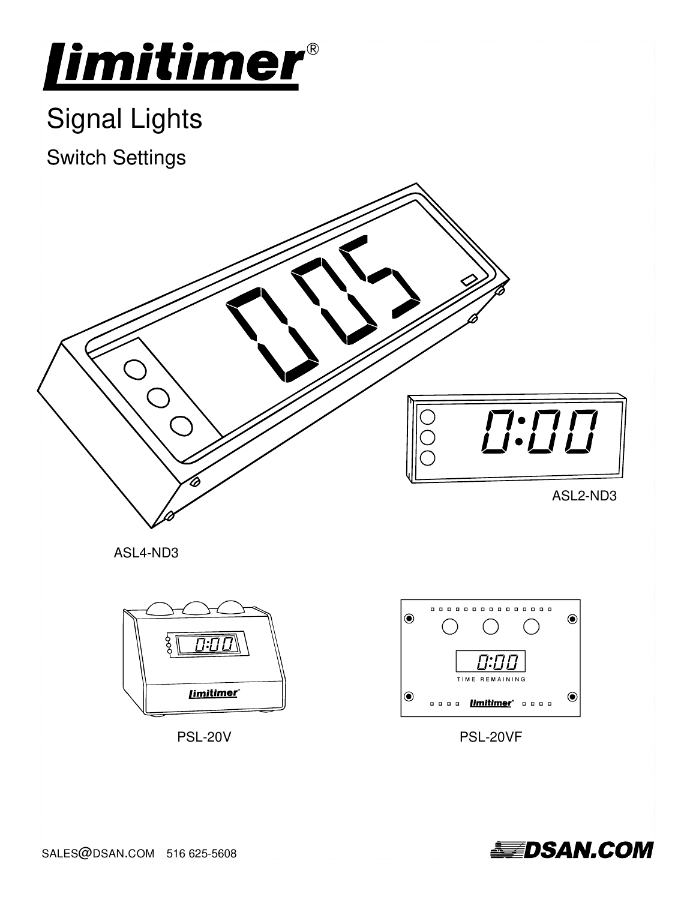

# Signal Lights

Switch Settings



ASL4-ND3



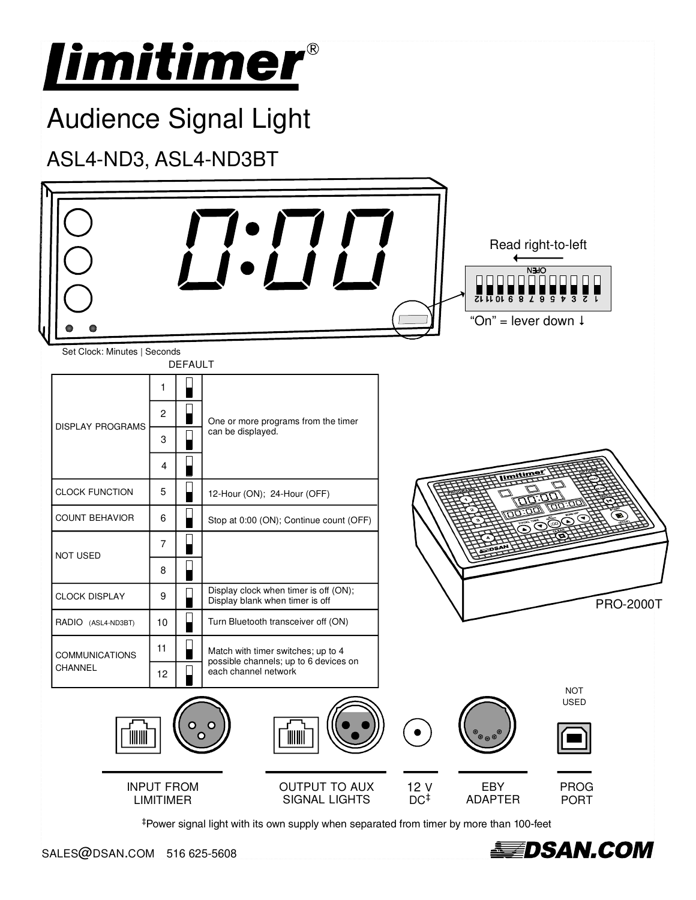

‡Power signal light with its own supply when separated from timer by more than 100-feet

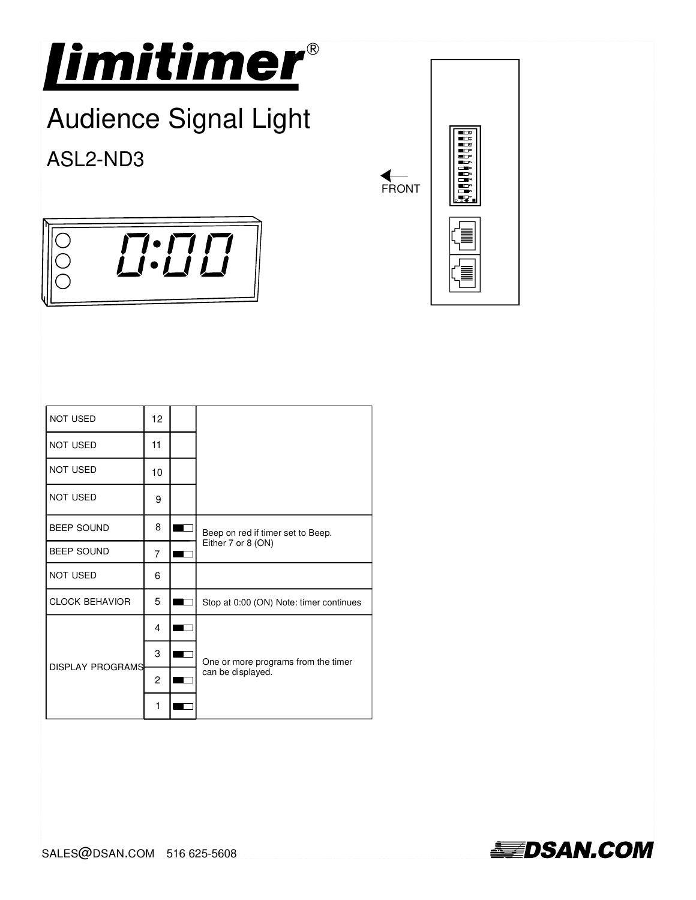

# Audience Signal Light

ASL2-ND3

FRONT

| $\sqcap\hspace{-0.12cm}\cdot\hspace{-0.12cm}\sqcap$ $\sqcap$<br>$\bullet$ / $\Box$ / |  |
|--------------------------------------------------------------------------------------|--|

| NOT USED                | 12             |                                         |  |  |
|-------------------------|----------------|-----------------------------------------|--|--|
| <b>NOT USED</b>         | 11             |                                         |  |  |
| <b>NOT USED</b>         | 10             |                                         |  |  |
| <b>NOT USED</b>         | 9              |                                         |  |  |
| <b>BEEP SOUND</b>       | 8              | Beep on red if timer set to Beep.       |  |  |
| <b>BEEP SOUND</b>       | $\overline{7}$ | Either 7 or 8 (ON)                      |  |  |
| <b>NOT USED</b>         | 6              |                                         |  |  |
| <b>CLOCK BEHAVIOR</b>   | 5              | Stop at 0:00 (ON) Note: timer continues |  |  |
|                         | 4              |                                         |  |  |
| <b>DISPLAY PROGRAMS</b> | 3              | One or more programs from the timer     |  |  |
|                         | $\overline{c}$ | can be displayed.                       |  |  |
|                         | 1              |                                         |  |  |

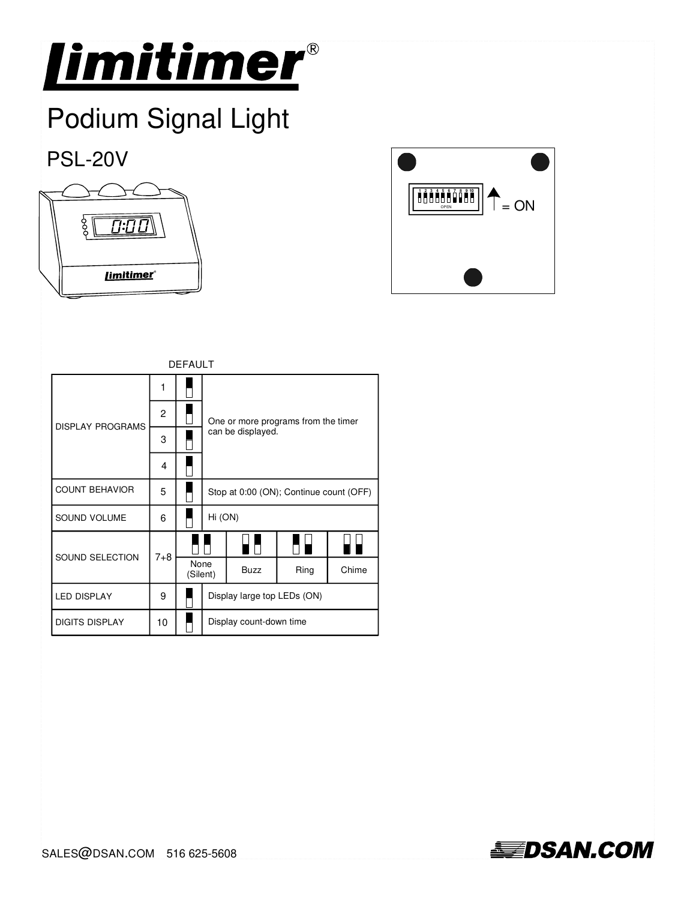

## Podium Signal Light

#### PSL-20V





| <b>DEFAULT</b>          |                |  |                                         |                             |  |             |      |
|-------------------------|----------------|--|-----------------------------------------|-----------------------------|--|-------------|------|
| <b>DISPLAY PROGRAMS</b> | 1              |  |                                         |                             |  |             |      |
|                         | $\overline{c}$ |  | One or more programs from the timer     |                             |  |             |      |
|                         | 3              |  |                                         | can be displayed.           |  |             |      |
|                         | 4              |  |                                         |                             |  |             |      |
| <b>COUNT BEHAVIOR</b>   | 5              |  | Stop at 0:00 (ON); Continue count (OFF) |                             |  |             |      |
| SOUND VOLUME            | 6              |  |                                         | Hi (ON)                     |  |             |      |
| SOUND SELECTION         | $7 + 8$        |  |                                         |                             |  |             |      |
|                         |                |  |                                         | None<br>(Silent)            |  | <b>Buzz</b> | Ring |
| <b>LED DISPLAY</b>      | 9              |  |                                         | Display large top LEDs (ON) |  |             |      |
| <b>DIGITS DISPLAY</b>   | 10             |  | Display count-down time                 |                             |  |             |      |

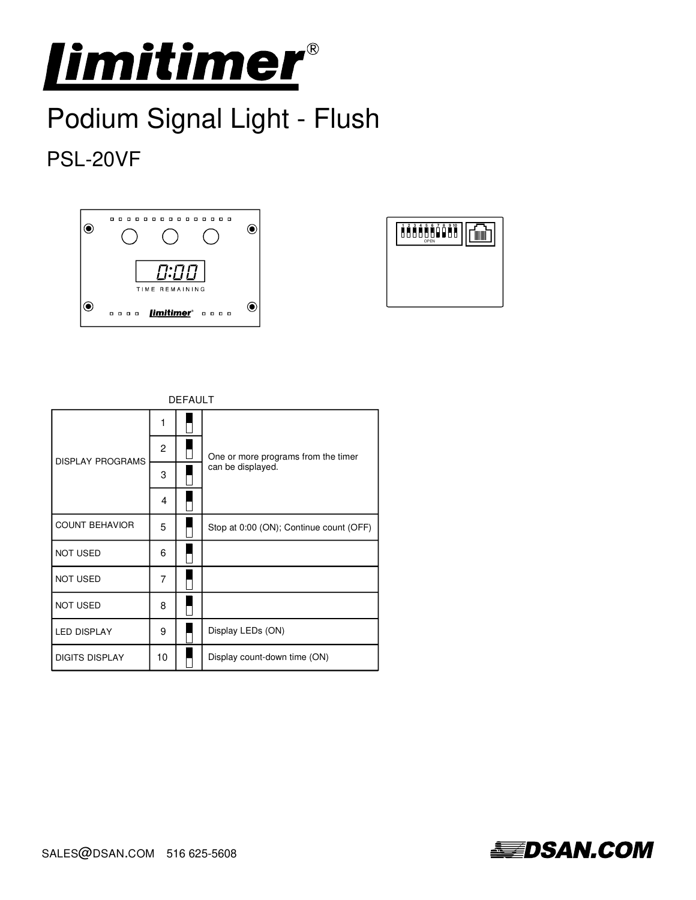

## Podium Signal Light - Flush

### PSL-20VF







| <b>DISPLAY PROGRAMS</b> | 1  |                                         |
|-------------------------|----|-----------------------------------------|
|                         | 2  | One or more programs from the timer     |
|                         | 3  | can be displayed.                       |
|                         | 4  |                                         |
| <b>COUNT BEHAVIOR</b>   | 5  | Stop at 0:00 (ON); Continue count (OFF) |
| <b>NOT USED</b>         | 6  |                                         |
| <b>NOT USED</b>         | 7  |                                         |
| <b>NOT USED</b>         | 8  |                                         |
| <b>LED DISPLAY</b>      | 9  | Display LEDs (ON)                       |
| <b>DIGITS DISPLAY</b>   | 10 | Display count-down time (ON)            |